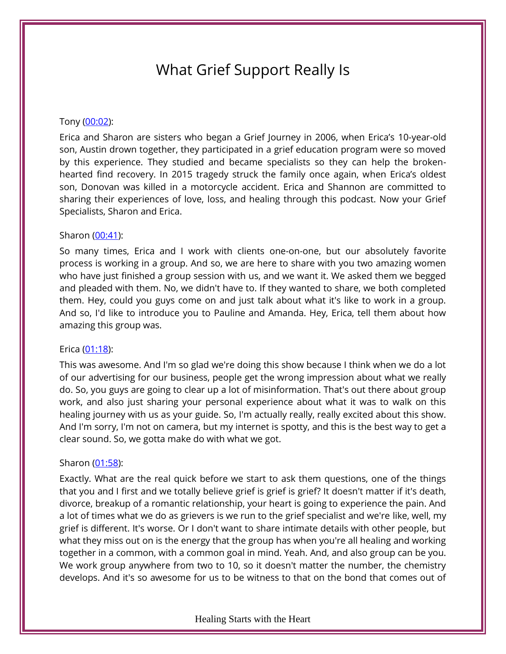# What Grief Support Really Is

#### Tony [\(00:02\)](https://www.temi.com/editor/t/wKPJwAl82cy1VwXM03CG4Bw1Ce61dAdok2G9zVC4Y10UtlmmAMhrPWliWo0XY3d7B6-X2p50zGig-G_ru3gLnPBOuBw?loadFrom=DocumentDeeplink&ts=2.92):

Erica and Sharon are sisters who began a Grief Journey in 2006, when Erica's 10-year-old son, Austin drown together, they participated in a grief education program were so moved by this experience. They studied and became specialists so they can help the brokenhearted find recovery. In 2015 tragedy struck the family once again, when Erica's oldest son, Donovan was killed in a motorcycle accident. Erica and Shannon are committed to sharing their experiences of love, loss, and healing through this podcast. Now your Grief Specialists, Sharon and Erica.

#### Sharon [\(00:41\)](https://www.temi.com/editor/t/Mk2WrqbMfJijmaBciphUUzM4Cxgzh3iT54Kpgdt1lexARqOhq9mn0uYPWUwz9TPciCys7VYPQztkYoLsdCDhcQIkJG8?loadFrom=DocumentDeeplink&ts=41.44):

So many times, Erica and I work with clients one-on-one, but our absolutely favorite process is working in a group. And so, we are here to share with you two amazing women who have just finished a group session with us, and we want it. We asked them we begged and pleaded with them. No, we didn't have to. If they wanted to share, we both completed them. Hey, could you guys come on and just talk about what it's like to work in a group. And so, I'd like to introduce you to Pauline and Amanda. Hey, Erica, tell them about how amazing this group was.

#### Erica [\(01:18\)](https://www.temi.com/editor/t/Mk2WrqbMfJijmaBciphUUzM4Cxgzh3iT54Kpgdt1lexARqOhq9mn0uYPWUwz9TPciCys7VYPQztkYoLsdCDhcQIkJG8?loadFrom=DocumentDeeplink&ts=78.91):

This was awesome. And I'm so glad we're doing this show because I think when we do a lot of our advertising for our business, people get the wrong impression about what we really do. So, you guys are going to clear up a lot of misinformation. That's out there about group work, and also just sharing your personal experience about what it was to walk on this healing journey with us as your guide. So, I'm actually really, really excited about this show. And I'm sorry, I'm not on camera, but my internet is spotty, and this is the best way to get a clear sound. So, we gotta make do with what we got.

## Sharon [\(01:58\)](https://www.temi.com/editor/t/Mk2WrqbMfJijmaBciphUUzM4Cxgzh3iT54Kpgdt1lexARqOhq9mn0uYPWUwz9TPciCys7VYPQztkYoLsdCDhcQIkJG8?loadFrom=DocumentDeeplink&ts=118.24):

Exactly. What are the real quick before we start to ask them questions, one of the things that you and I first and we totally believe grief is grief is grief? It doesn't matter if it's death, divorce, breakup of a romantic relationship, your heart is going to experience the pain. And a lot of times what we do as grievers is we run to the grief specialist and we're like, well, my grief is different. It's worse. Or I don't want to share intimate details with other people, but what they miss out on is the energy that the group has when you're all healing and working together in a common, with a common goal in mind. Yeah. And, and also group can be you. We work group anywhere from two to 10, so it doesn't matter the number, the chemistry develops. And it's so awesome for us to be witness to that on the bond that comes out of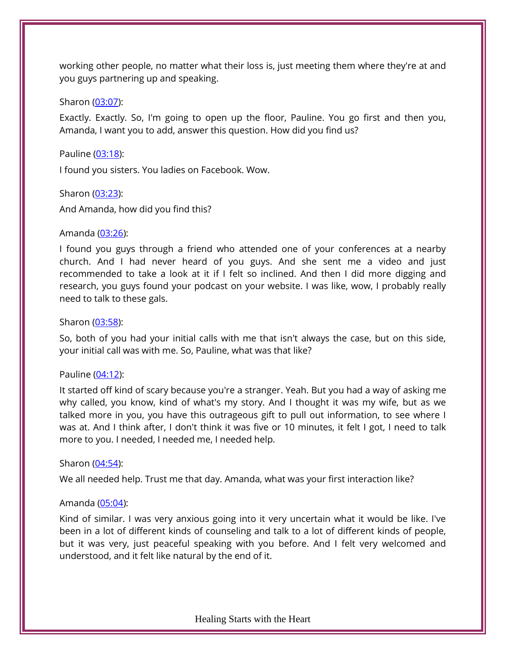working other people, no matter what their loss is, just meeting them where they're at and you guys partnering up and speaking.

## Sharon [\(03:07\)](https://www.temi.com/editor/t/Mk2WrqbMfJijmaBciphUUzM4Cxgzh3iT54Kpgdt1lexARqOhq9mn0uYPWUwz9TPciCys7VYPQztkYoLsdCDhcQIkJG8?loadFrom=DocumentDeeplink&ts=187.51):

Exactly. Exactly. So, I'm going to open up the floor, Pauline. You go first and then you, Amanda, I want you to add, answer this question. How did you find us?

## Pauline [\(03:18\)](https://www.temi.com/editor/t/Mk2WrqbMfJijmaBciphUUzM4Cxgzh3iT54Kpgdt1lexARqOhq9mn0uYPWUwz9TPciCys7VYPQztkYoLsdCDhcQIkJG8?loadFrom=DocumentDeeplink&ts=198.67):

I found you sisters. You ladies on Facebook. Wow.

Sharon [\(03:23\)](https://www.temi.com/editor/t/Mk2WrqbMfJijmaBciphUUzM4Cxgzh3iT54Kpgdt1lexARqOhq9mn0uYPWUwz9TPciCys7VYPQztkYoLsdCDhcQIkJG8?loadFrom=DocumentDeeplink&ts=203.96):

And Amanda, how did you find this?

## Amanda [\(03:26\)](https://www.temi.com/editor/t/Mk2WrqbMfJijmaBciphUUzM4Cxgzh3iT54Kpgdt1lexARqOhq9mn0uYPWUwz9TPciCys7VYPQztkYoLsdCDhcQIkJG8?loadFrom=DocumentDeeplink&ts=206.66):

I found you guys through a friend who attended one of your conferences at a nearby church. And I had never heard of you guys. And she sent me a video and just recommended to take a look at it if I felt so inclined. And then I did more digging and research, you guys found your podcast on your website. I was like, wow, I probably really need to talk to these gals.

## Sharon [\(03:58\)](https://www.temi.com/editor/t/Mk2WrqbMfJijmaBciphUUzM4Cxgzh3iT54Kpgdt1lexARqOhq9mn0uYPWUwz9TPciCys7VYPQztkYoLsdCDhcQIkJG8?loadFrom=DocumentDeeplink&ts=238.04):

So, both of you had your initial calls with me that isn't always the case, but on this side, your initial call was with me. So, Pauline, what was that like?

## Pauline [\(04:12\)](https://www.temi.com/editor/t/Mk2WrqbMfJijmaBciphUUzM4Cxgzh3iT54Kpgdt1lexARqOhq9mn0uYPWUwz9TPciCys7VYPQztkYoLsdCDhcQIkJG8?loadFrom=DocumentDeeplink&ts=252.57):

It started off kind of scary because you're a stranger. Yeah. But you had a way of asking me why called, you know, kind of what's my story. And I thought it was my wife, but as we talked more in you, you have this outrageous gift to pull out information, to see where I was at. And I think after, I don't think it was five or 10 minutes, it felt I got, I need to talk more to you. I needed, I needed me, I needed help.

## Sharon [\(04:54\)](https://www.temi.com/editor/t/Mk2WrqbMfJijmaBciphUUzM4Cxgzh3iT54Kpgdt1lexARqOhq9mn0uYPWUwz9TPciCys7VYPQztkYoLsdCDhcQIkJG8?loadFrom=DocumentDeeplink&ts=294.88):

We all needed help. Trust me that day. Amanda, what was your first interaction like?

# Amanda [\(05:04\)](https://www.temi.com/editor/t/Mk2WrqbMfJijmaBciphUUzM4Cxgzh3iT54Kpgdt1lexARqOhq9mn0uYPWUwz9TPciCys7VYPQztkYoLsdCDhcQIkJG8?loadFrom=DocumentDeeplink&ts=304.12):

Kind of similar. I was very anxious going into it very uncertain what it would be like. I've been in a lot of different kinds of counseling and talk to a lot of different kinds of people, but it was very, just peaceful speaking with you before. And I felt very welcomed and understood, and it felt like natural by the end of it.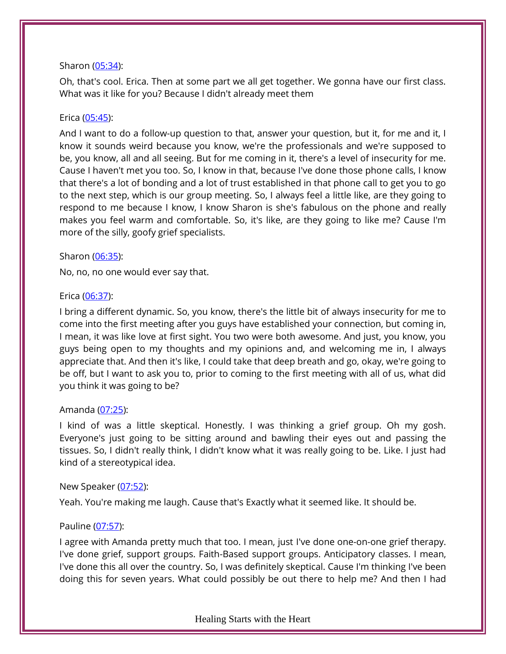## Sharon [\(05:34\)](https://www.temi.com/editor/t/Mk2WrqbMfJijmaBciphUUzM4Cxgzh3iT54Kpgdt1lexARqOhq9mn0uYPWUwz9TPciCys7VYPQztkYoLsdCDhcQIkJG8?loadFrom=DocumentDeeplink&ts=334.93):

Oh, that's cool. Erica. Then at some part we all get together. We gonna have our first class. What was it like for you? Because I didn't already meet them

## Erica [\(05:45\)](https://www.temi.com/editor/t/Mk2WrqbMfJijmaBciphUUzM4Cxgzh3iT54Kpgdt1lexARqOhq9mn0uYPWUwz9TPciCys7VYPQztkYoLsdCDhcQIkJG8?loadFrom=DocumentDeeplink&ts=345.4):

And I want to do a follow-up question to that, answer your question, but it, for me and it, I know it sounds weird because you know, we're the professionals and we're supposed to be, you know, all and all seeing. But for me coming in it, there's a level of insecurity for me. Cause I haven't met you too. So, I know in that, because I've done those phone calls, I know that there's a lot of bonding and a lot of trust established in that phone call to get you to go to the next step, which is our group meeting. So, I always feel a little like, are they going to respond to me because I know, I know Sharon is she's fabulous on the phone and really makes you feel warm and comfortable. So, it's like, are they going to like me? Cause I'm more of the silly, goofy grief specialists.

## Sharon [\(06:35\)](https://www.temi.com/editor/t/Mk2WrqbMfJijmaBciphUUzM4Cxgzh3iT54Kpgdt1lexARqOhq9mn0uYPWUwz9TPciCys7VYPQztkYoLsdCDhcQIkJG8?loadFrom=DocumentDeeplink&ts=395.09):

No, no, no one would ever say that.

## Erica [\(06:37\)](https://www.temi.com/editor/t/Mk2WrqbMfJijmaBciphUUzM4Cxgzh3iT54Kpgdt1lexARqOhq9mn0uYPWUwz9TPciCys7VYPQztkYoLsdCDhcQIkJG8?loadFrom=DocumentDeeplink&ts=397.43):

I bring a different dynamic. So, you know, there's the little bit of always insecurity for me to come into the first meeting after you guys have established your connection, but coming in, I mean, it was like love at first sight. You two were both awesome. And just, you know, you guys being open to my thoughts and my opinions and, and welcoming me in, I always appreciate that. And then it's like, I could take that deep breath and go, okay, we're going to be off, but I want to ask you to, prior to coming to the first meeting with all of us, what did you think it was going to be?

## Amanda [\(07:25\)](https://www.temi.com/editor/t/Mk2WrqbMfJijmaBciphUUzM4Cxgzh3iT54Kpgdt1lexARqOhq9mn0uYPWUwz9TPciCys7VYPQztkYoLsdCDhcQIkJG8?loadFrom=DocumentDeeplink&ts=445.85):

I kind of was a little skeptical. Honestly. I was thinking a grief group. Oh my gosh. Everyone's just going to be sitting around and bawling their eyes out and passing the tissues. So, I didn't really think, I didn't know what it was really going to be. Like. I just had kind of a stereotypical idea.

## New Speaker [\(07:52\)](https://www.temi.com/editor/t/Mk2WrqbMfJijmaBciphUUzM4Cxgzh3iT54Kpgdt1lexARqOhq9mn0uYPWUwz9TPciCys7VYPQztkYoLsdCDhcQIkJG8?loadFrom=DocumentDeeplink&ts=472.07):

Yeah. You're making me laugh. Cause that's Exactly what it seemed like. It should be.

# Pauline [\(07:57\)](https://www.temi.com/editor/t/Mk2WrqbMfJijmaBciphUUzM4Cxgzh3iT54Kpgdt1lexARqOhq9mn0uYPWUwz9TPciCys7VYPQztkYoLsdCDhcQIkJG8?loadFrom=DocumentDeeplink&ts=477.65):

I agree with Amanda pretty much that too. I mean, just I've done one-on-one grief therapy. I've done grief, support groups. Faith-Based support groups. Anticipatory classes. I mean, I've done this all over the country. So, I was definitely skeptical. Cause I'm thinking I've been doing this for seven years. What could possibly be out there to help me? And then I had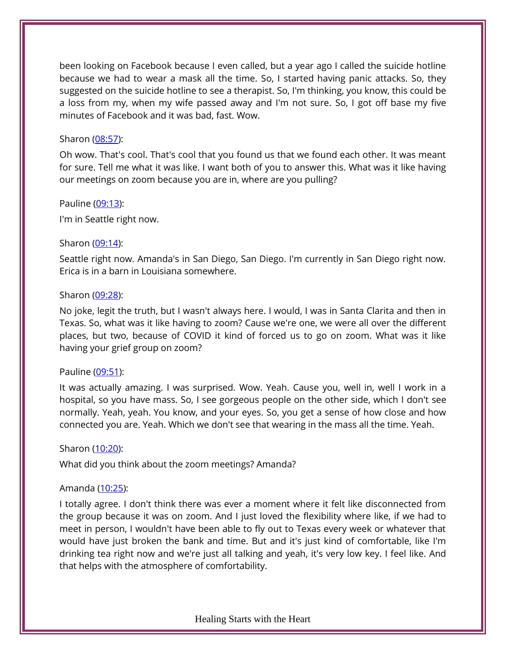been looking on Facebook because I even called, but a year ago I called the suicide hotline because we had to wear a mask all the time. So, I started having panic attacks. So, they suggested on the suicide hotline to see a therapist. So, I'm thinking, you know, this could be a loss from my, when my wife passed away and I'm not sure. So, I got off base my five minutes of Facebook and it was bad, fast. Wow.

#### Sharon [\(08:57\)](https://www.temi.com/editor/t/Mk2WrqbMfJijmaBciphUUzM4Cxgzh3iT54Kpgdt1lexARqOhq9mn0uYPWUwz9TPciCys7VYPQztkYoLsdCDhcQIkJG8?loadFrom=DocumentDeeplink&ts=537.9):

Oh wow. That's cool. That's cool that you found us that we found each other. It was meant for sure. Tell me what it was like. I want both of you to answer this. What was it like having our meetings on zoom because you are in, where are you pulling?

#### Pauline [\(09:13\)](https://www.temi.com/editor/t/Mk2WrqbMfJijmaBciphUUzM4Cxgzh3iT54Kpgdt1lexARqOhq9mn0uYPWUwz9TPciCys7VYPQztkYoLsdCDhcQIkJG8?loadFrom=DocumentDeeplink&ts=553.17):

I'm in Seattle right now.

#### Sharon [\(09:14\)](https://www.temi.com/editor/t/Mk2WrqbMfJijmaBciphUUzM4Cxgzh3iT54Kpgdt1lexARqOhq9mn0uYPWUwz9TPciCys7VYPQztkYoLsdCDhcQIkJG8?loadFrom=DocumentDeeplink&ts=554.88):

Seattle right now. Amanda's in San Diego, San Diego. I'm currently in San Diego right now. Erica is in a barn in Louisiana somewhere.

#### Sharon [\(09:28\)](https://www.temi.com/editor/t/Mk2WrqbMfJijmaBciphUUzM4Cxgzh3iT54Kpgdt1lexARqOhq9mn0uYPWUwz9TPciCys7VYPQztkYoLsdCDhcQIkJG8?loadFrom=DocumentDeeplink&ts=568.47):

No joke, legit the truth, but I wasn't always here. I would, I was in Santa Clarita and then in Texas. So, what was it like having to zoom? Cause we're one, we were all over the different places, but two, because of COVID it kind of forced us to go on zoom. What was it like having your grief group on zoom?

## Pauline [\(09:51\)](https://www.temi.com/editor/t/Mk2WrqbMfJijmaBciphUUzM4Cxgzh3iT54Kpgdt1lexARqOhq9mn0uYPWUwz9TPciCys7VYPQztkYoLsdCDhcQIkJG8?loadFrom=DocumentDeeplink&ts=591.03):

It was actually amazing. I was surprised. Wow. Yeah. Cause you, well in, well I work in a hospital, so you have mass. So, I see gorgeous people on the other side, which I don't see normally. Yeah, yeah. You know, and your eyes. So, you get a sense of how close and how connected you are. Yeah. Which we don't see that wearing in the mass all the time. Yeah.

## Sharon [\(10:20\)](https://www.temi.com/editor/t/Mk2WrqbMfJijmaBciphUUzM4Cxgzh3iT54Kpgdt1lexARqOhq9mn0uYPWUwz9TPciCys7VYPQztkYoLsdCDhcQIkJG8?loadFrom=DocumentDeeplink&ts=620.121):

What did you think about the zoom meetings? Amanda?

## Amanda [\(10:25\)](https://www.temi.com/editor/t/Mk2WrqbMfJijmaBciphUUzM4Cxgzh3iT54Kpgdt1lexARqOhq9mn0uYPWUwz9TPciCys7VYPQztkYoLsdCDhcQIkJG8?loadFrom=DocumentDeeplink&ts=625.26):

I totally agree. I don't think there was ever a moment where it felt like disconnected from the group because it was on zoom. And I just loved the flexibility where like, if we had to meet in person, I wouldn't have been able to fly out to Texas every week or whatever that would have just broken the bank and time. But and it's just kind of comfortable, like I'm drinking tea right now and we're just all talking and yeah, it's very low key. I feel like. And that helps with the atmosphere of comfortability.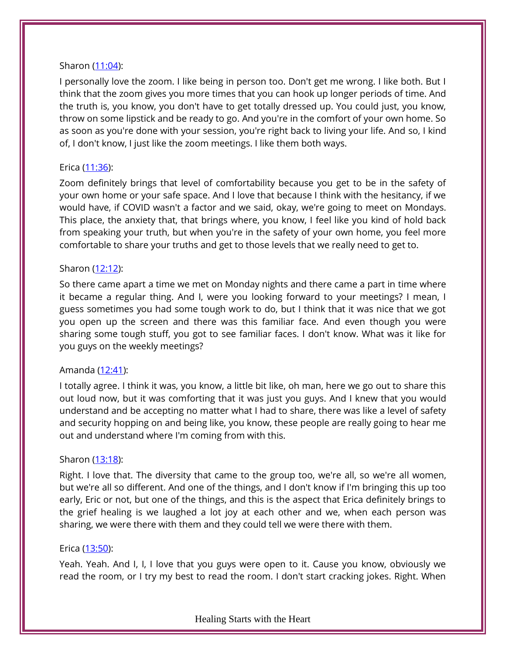## Sharon [\(11:04\)](https://www.temi.com/editor/t/Mk2WrqbMfJijmaBciphUUzM4Cxgzh3iT54Kpgdt1lexARqOhq9mn0uYPWUwz9TPciCys7VYPQztkYoLsdCDhcQIkJG8?loadFrom=DocumentDeeplink&ts=664.44):

I personally love the zoom. I like being in person too. Don't get me wrong. I like both. But I think that the zoom gives you more times that you can hook up longer periods of time. And the truth is, you know, you don't have to get totally dressed up. You could just, you know, throw on some lipstick and be ready to go. And you're in the comfort of your own home. So as soon as you're done with your session, you're right back to living your life. And so, I kind of, I don't know, I just like the zoom meetings. I like them both ways.

## Erica [\(11:36\)](https://www.temi.com/editor/t/Mk2WrqbMfJijmaBciphUUzM4Cxgzh3iT54Kpgdt1lexARqOhq9mn0uYPWUwz9TPciCys7VYPQztkYoLsdCDhcQIkJG8?loadFrom=DocumentDeeplink&ts=696.96):

Zoom definitely brings that level of comfortability because you get to be in the safety of your own home or your safe space. And I love that because I think with the hesitancy, if we would have, if COVID wasn't a factor and we said, okay, we're going to meet on Mondays. This place, the anxiety that, that brings where, you know, I feel like you kind of hold back from speaking your truth, but when you're in the safety of your own home, you feel more comfortable to share your truths and get to those levels that we really need to get to.

## Sharon [\(12:12\)](https://www.temi.com/editor/t/Mk2WrqbMfJijmaBciphUUzM4Cxgzh3iT54Kpgdt1lexARqOhq9mn0uYPWUwz9TPciCys7VYPQztkYoLsdCDhcQIkJG8?loadFrom=DocumentDeeplink&ts=732.67):

So there came apart a time we met on Monday nights and there came a part in time where it became a regular thing. And I, were you looking forward to your meetings? I mean, I guess sometimes you had some tough work to do, but I think that it was nice that we got you open up the screen and there was this familiar face. And even though you were sharing some tough stuff, you got to see familiar faces. I don't know. What was it like for you guys on the weekly meetings?

# Amanda [\(12:41\)](https://www.temi.com/editor/t/Mk2WrqbMfJijmaBciphUUzM4Cxgzh3iT54Kpgdt1lexARqOhq9mn0uYPWUwz9TPciCys7VYPQztkYoLsdCDhcQIkJG8?loadFrom=DocumentDeeplink&ts=761.28):

I totally agree. I think it was, you know, a little bit like, oh man, here we go out to share this out loud now, but it was comforting that it was just you guys. And I knew that you would understand and be accepting no matter what I had to share, there was like a level of safety and security hopping on and being like, you know, these people are really going to hear me out and understand where I'm coming from with this.

## Sharon [\(13:18\)](https://www.temi.com/editor/t/Mk2WrqbMfJijmaBciphUUzM4Cxgzh3iT54Kpgdt1lexARqOhq9mn0uYPWUwz9TPciCys7VYPQztkYoLsdCDhcQIkJG8?loadFrom=DocumentDeeplink&ts=798.57):

Right. I love that. The diversity that came to the group too, we're all, so we're all women, but we're all so different. And one of the things, and I don't know if I'm bringing this up too early, Eric or not, but one of the things, and this is the aspect that Erica definitely brings to the grief healing is we laughed a lot joy at each other and we, when each person was sharing, we were there with them and they could tell we were there with them.

## Erica [\(13:50\)](https://www.temi.com/editor/t/Mk2WrqbMfJijmaBciphUUzM4Cxgzh3iT54Kpgdt1lexARqOhq9mn0uYPWUwz9TPciCys7VYPQztkYoLsdCDhcQIkJG8?loadFrom=DocumentDeeplink&ts=830.46):

Yeah. Yeah. And I, I, I love that you guys were open to it. Cause you know, obviously we read the room, or I try my best to read the room. I don't start cracking jokes. Right. When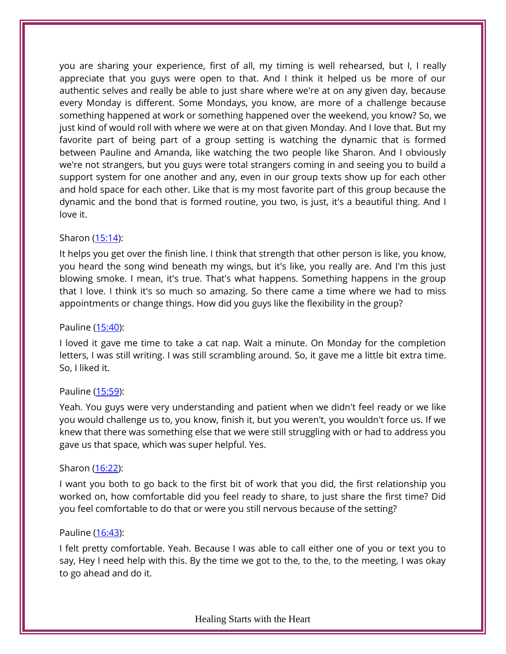you are sharing your experience, first of all, my timing is well rehearsed, but I, I really appreciate that you guys were open to that. And I think it helped us be more of our authentic selves and really be able to just share where we're at on any given day, because every Monday is different. Some Mondays, you know, are more of a challenge because something happened at work or something happened over the weekend, you know? So, we just kind of would roll with where we were at on that given Monday. And I love that. But my favorite part of being part of a group setting is watching the dynamic that is formed between Pauline and Amanda, like watching the two people like Sharon. And I obviously we're not strangers, but you guys were total strangers coming in and seeing you to build a support system for one another and any, even in our group texts show up for each other and hold space for each other. Like that is my most favorite part of this group because the dynamic and the bond that is formed routine, you two, is just, it's a beautiful thing. And I love it.

## Sharon [\(15:14\)](https://www.temi.com/editor/t/Mk2WrqbMfJijmaBciphUUzM4Cxgzh3iT54Kpgdt1lexARqOhq9mn0uYPWUwz9TPciCys7VYPQztkYoLsdCDhcQIkJG8?loadFrom=DocumentDeeplink&ts=914.63):

It helps you get over the finish line. I think that strength that other person is like, you know, you heard the song wind beneath my wings, but it's like, you really are. And I'm this just blowing smoke. I mean, it's true. That's what happens. Something happens in the group that I love. I think it's so much so amazing. So there came a time where we had to miss appointments or change things. How did you guys like the flexibility in the group?

## Pauline [\(15:40\)](https://www.temi.com/editor/t/Mk2WrqbMfJijmaBciphUUzM4Cxgzh3iT54Kpgdt1lexARqOhq9mn0uYPWUwz9TPciCys7VYPQztkYoLsdCDhcQIkJG8?loadFrom=DocumentDeeplink&ts=940.72):

I loved it gave me time to take a cat nap. Wait a minute. On Monday for the completion letters, I was still writing. I was still scrambling around. So, it gave me a little bit extra time. So, I liked it.

## Pauline [\(15:59\)](https://www.temi.com/editor/t/Mk2WrqbMfJijmaBciphUUzM4Cxgzh3iT54Kpgdt1lexARqOhq9mn0uYPWUwz9TPciCys7VYPQztkYoLsdCDhcQIkJG8?loadFrom=DocumentDeeplink&ts=959.11):

Yeah. You guys were very understanding and patient when we didn't feel ready or we like you would challenge us to, you know, finish it, but you weren't, you wouldn't force us. If we knew that there was something else that we were still struggling with or had to address you gave us that space, which was super helpful. Yes.

## Sharon [\(16:22\)](https://www.temi.com/editor/t/Mk2WrqbMfJijmaBciphUUzM4Cxgzh3iT54Kpgdt1lexARqOhq9mn0uYPWUwz9TPciCys7VYPQztkYoLsdCDhcQIkJG8?loadFrom=DocumentDeeplink&ts=982.66):

I want you both to go back to the first bit of work that you did, the first relationship you worked on, how comfortable did you feel ready to share, to just share the first time? Did you feel comfortable to do that or were you still nervous because of the setting?

## Pauline [\(16:43\)](https://www.temi.com/editor/t/Mk2WrqbMfJijmaBciphUUzM4Cxgzh3iT54Kpgdt1lexARqOhq9mn0uYPWUwz9TPciCys7VYPQztkYoLsdCDhcQIkJG8?loadFrom=DocumentDeeplink&ts=1003.23):

I felt pretty comfortable. Yeah. Because I was able to call either one of you or text you to say, Hey I need help with this. By the time we got to the, to the, to the meeting, I was okay to go ahead and do it.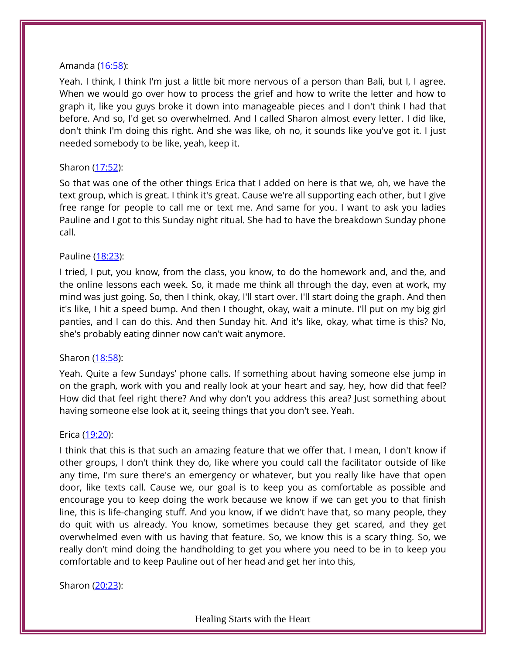#### Amanda [\(16:58\)](https://www.temi.com/editor/t/Mk2WrqbMfJijmaBciphUUzM4Cxgzh3iT54Kpgdt1lexARqOhq9mn0uYPWUwz9TPciCys7VYPQztkYoLsdCDhcQIkJG8?loadFrom=DocumentDeeplink&ts=1018.86):

Yeah. I think, I think I'm just a little bit more nervous of a person than Bali, but I, I agree. When we would go over how to process the grief and how to write the letter and how to graph it, like you guys broke it down into manageable pieces and I don't think I had that before. And so, I'd get so overwhelmed. And I called Sharon almost every letter. I did like, don't think I'm doing this right. And she was like, oh no, it sounds like you've got it. I just needed somebody to be like, yeah, keep it.

## Sharon [\(17:52\)](https://www.temi.com/editor/t/Mk2WrqbMfJijmaBciphUUzM4Cxgzh3iT54Kpgdt1lexARqOhq9mn0uYPWUwz9TPciCys7VYPQztkYoLsdCDhcQIkJG8?loadFrom=DocumentDeeplink&ts=1072.23):

So that was one of the other things Erica that I added on here is that we, oh, we have the text group, which is great. I think it's great. Cause we're all supporting each other, but I give free range for people to call me or text me. And same for you. I want to ask you ladies Pauline and I got to this Sunday night ritual. She had to have the breakdown Sunday phone call.

## Pauline [\(18:23\)](https://www.temi.com/editor/t/Mk2WrqbMfJijmaBciphUUzM4Cxgzh3iT54Kpgdt1lexARqOhq9mn0uYPWUwz9TPciCys7VYPQztkYoLsdCDhcQIkJG8?loadFrom=DocumentDeeplink&ts=1103.88):

I tried, I put, you know, from the class, you know, to do the homework and, and the, and the online lessons each week. So, it made me think all through the day, even at work, my mind was just going. So, then I think, okay, I'll start over. I'll start doing the graph. And then it's like, I hit a speed bump. And then I thought, okay, wait a minute. I'll put on my big girl panties, and I can do this. And then Sunday hit. And it's like, okay, what time is this? No, she's probably eating dinner now can't wait anymore.

## Sharon [\(18:58\)](https://www.temi.com/editor/t/Mk2WrqbMfJijmaBciphUUzM4Cxgzh3iT54Kpgdt1lexARqOhq9mn0uYPWUwz9TPciCys7VYPQztkYoLsdCDhcQIkJG8?loadFrom=DocumentDeeplink&ts=1138.65):

Yeah. Quite a few Sundays' phone calls. If something about having someone else jump in on the graph, work with you and really look at your heart and say, hey, how did that feel? How did that feel right there? And why don't you address this area? Just something about having someone else look at it, seeing things that you don't see. Yeah.

## Erica [\(19:20\)](https://www.temi.com/editor/t/Mk2WrqbMfJijmaBciphUUzM4Cxgzh3iT54Kpgdt1lexARqOhq9mn0uYPWUwz9TPciCys7VYPQztkYoLsdCDhcQIkJG8?loadFrom=DocumentDeeplink&ts=1160.16):

I think that this is that such an amazing feature that we offer that. I mean, I don't know if other groups, I don't think they do, like where you could call the facilitator outside of like any time, I'm sure there's an emergency or whatever, but you really like have that open door, like texts call. Cause we, our goal is to keep you as comfortable as possible and encourage you to keep doing the work because we know if we can get you to that finish line, this is life-changing stuff. And you know, if we didn't have that, so many people, they do quit with us already. You know, sometimes because they get scared, and they get overwhelmed even with us having that feature. So, we know this is a scary thing. So, we really don't mind doing the handholding to get you where you need to be in to keep you comfortable and to keep Pauline out of her head and get her into this,

Sharon [\(20:23\)](https://www.temi.com/editor/t/Mk2WrqbMfJijmaBciphUUzM4Cxgzh3iT54Kpgdt1lexARqOhq9mn0uYPWUwz9TPciCys7VYPQztkYoLsdCDhcQIkJG8?loadFrom=DocumentDeeplink&ts=1223.28):

Healing Starts with the Heart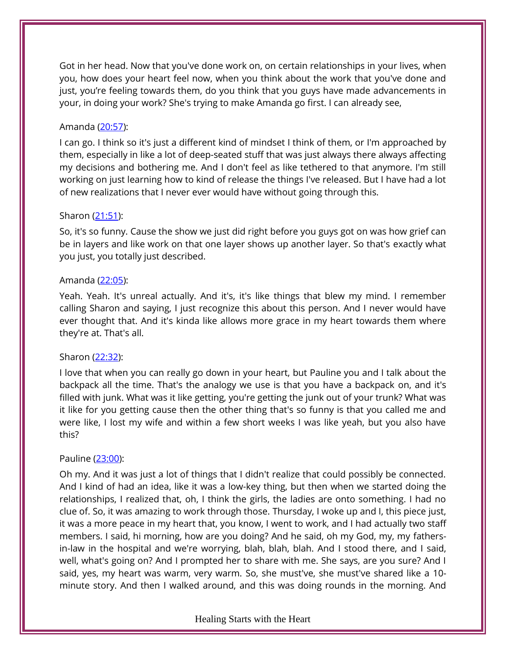Got in her head. Now that you've done work on, on certain relationships in your lives, when you, how does your heart feel now, when you think about the work that you've done and just, you're feeling towards them, do you think that you guys have made advancements in your, in doing your work? She's trying to make Amanda go first. I can already see,

## Amanda [\(20:57\)](https://www.temi.com/editor/t/Mk2WrqbMfJijmaBciphUUzM4Cxgzh3iT54Kpgdt1lexARqOhq9mn0uYPWUwz9TPciCys7VYPQztkYoLsdCDhcQIkJG8?loadFrom=DocumentDeeplink&ts=1257.03):

I can go. I think so it's just a different kind of mindset I think of them, or I'm approached by them, especially in like a lot of deep-seated stuff that was just always there always affecting my decisions and bothering me. And I don't feel as like tethered to that anymore. I'm still working on just learning how to kind of release the things I've released. But I have had a lot of new realizations that I never ever would have without going through this.

## Sharon [\(21:51\)](https://www.temi.com/editor/t/Mk2WrqbMfJijmaBciphUUzM4Cxgzh3iT54Kpgdt1lexARqOhq9mn0uYPWUwz9TPciCys7VYPQztkYoLsdCDhcQIkJG8?loadFrom=DocumentDeeplink&ts=1311.72):

So, it's so funny. Cause the show we just did right before you guys got on was how grief can be in layers and like work on that one layer shows up another layer. So that's exactly what you just, you totally just described.

## Amanda [\(22:05\)](https://www.temi.com/editor/t/Mk2WrqbMfJijmaBciphUUzM4Cxgzh3iT54Kpgdt1lexARqOhq9mn0uYPWUwz9TPciCys7VYPQztkYoLsdCDhcQIkJG8?loadFrom=DocumentDeeplink&ts=1325.84):

Yeah. Yeah. It's unreal actually. And it's, it's like things that blew my mind. I remember calling Sharon and saying, I just recognize this about this person. And I never would have ever thought that. And it's kinda like allows more grace in my heart towards them where they're at. That's all.

# Sharon [\(22:32\)](https://www.temi.com/editor/t/Mk2WrqbMfJijmaBciphUUzM4Cxgzh3iT54Kpgdt1lexARqOhq9mn0uYPWUwz9TPciCys7VYPQztkYoLsdCDhcQIkJG8?loadFrom=DocumentDeeplink&ts=1352.52):

I love that when you can really go down in your heart, but Pauline you and I talk about the backpack all the time. That's the analogy we use is that you have a backpack on, and it's filled with junk. What was it like getting, you're getting the junk out of your trunk? What was it like for you getting cause then the other thing that's so funny is that you called me and were like, I lost my wife and within a few short weeks I was like yeah, but you also have this?

## Pauline [\(23:00\)](https://www.temi.com/editor/t/Mk2WrqbMfJijmaBciphUUzM4Cxgzh3iT54Kpgdt1lexARqOhq9mn0uYPWUwz9TPciCys7VYPQztkYoLsdCDhcQIkJG8?loadFrom=DocumentDeeplink&ts=1380.75):

Oh my. And it was just a lot of things that I didn't realize that could possibly be connected. And I kind of had an idea, like it was a low-key thing, but then when we started doing the relationships, I realized that, oh, I think the girls, the ladies are onto something. I had no clue of. So, it was amazing to work through those. Thursday, I woke up and I, this piece just, it was a more peace in my heart that, you know, I went to work, and I had actually two staff members. I said, hi morning, how are you doing? And he said, oh my God, my, my fathersin-law in the hospital and we're worrying, blah, blah, blah. And I stood there, and I said, well, what's going on? And I prompted her to share with me. She says, are you sure? And I said, yes, my heart was warm, very warm. So, she must've, she must've shared like a 10 minute story. And then I walked around, and this was doing rounds in the morning. And

## Healing Starts with the Heart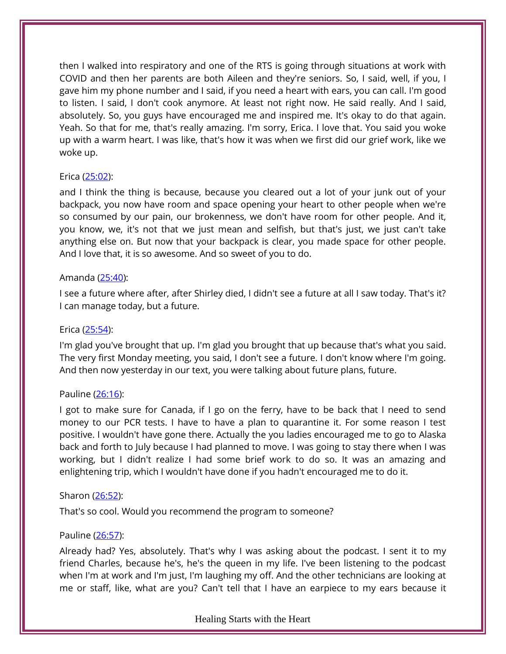then I walked into respiratory and one of the RTS is going through situations at work with COVID and then her parents are both Aileen and they're seniors. So, I said, well, if you, I gave him my phone number and I said, if you need a heart with ears, you can call. I'm good to listen. I said, I don't cook anymore. At least not right now. He said really. And I said, absolutely. So, you guys have encouraged me and inspired me. It's okay to do that again. Yeah. So that for me, that's really amazing. I'm sorry, Erica. I love that. You said you woke up with a warm heart. I was like, that's how it was when we first did our grief work, like we woke up.

## Erica [\(25:02\)](https://www.temi.com/editor/t/Mk2WrqbMfJijmaBciphUUzM4Cxgzh3iT54Kpgdt1lexARqOhq9mn0uYPWUwz9TPciCys7VYPQztkYoLsdCDhcQIkJG8?loadFrom=DocumentDeeplink&ts=1502.6):

and I think the thing is because, because you cleared out a lot of your junk out of your backpack, you now have room and space opening your heart to other people when we're so consumed by our pain, our brokenness, we don't have room for other people. And it, you know, we, it's not that we just mean and selfish, but that's just, we just can't take anything else on. But now that your backpack is clear, you made space for other people. And I love that, it is so awesome. And so sweet of you to do.

## Amanda [\(25:40\)](https://www.temi.com/editor/t/Mk2WrqbMfJijmaBciphUUzM4Cxgzh3iT54Kpgdt1lexARqOhq9mn0uYPWUwz9TPciCys7VYPQztkYoLsdCDhcQIkJG8?loadFrom=DocumentDeeplink&ts=1540.78):

I see a future where after, after Shirley died, I didn't see a future at all I saw today. That's it? I can manage today, but a future.

# Erica [\(25:54\)](https://www.temi.com/editor/t/Mk2WrqbMfJijmaBciphUUzM4Cxgzh3iT54Kpgdt1lexARqOhq9mn0uYPWUwz9TPciCys7VYPQztkYoLsdCDhcQIkJG8?loadFrom=DocumentDeeplink&ts=1554.51):

I'm glad you've brought that up. I'm glad you brought that up because that's what you said. The very first Monday meeting, you said, I don't see a future. I don't know where I'm going. And then now yesterday in our text, you were talking about future plans, future.

# Pauline [\(26:16\)](https://www.temi.com/editor/t/Mk2WrqbMfJijmaBciphUUzM4Cxgzh3iT54Kpgdt1lexARqOhq9mn0uYPWUwz9TPciCys7VYPQztkYoLsdCDhcQIkJG8?loadFrom=DocumentDeeplink&ts=1576.67):

I got to make sure for Canada, if I go on the ferry, have to be back that I need to send money to our PCR tests. I have to have a plan to quarantine it. For some reason I test positive. I wouldn't have gone there. Actually the you ladies encouraged me to go to Alaska back and forth to July because I had planned to move. I was going to stay there when I was working, but I didn't realize I had some brief work to do so. It was an amazing and enlightening trip, which I wouldn't have done if you hadn't encouraged me to do it.

# Sharon [\(26:52\)](https://www.temi.com/editor/t/Mk2WrqbMfJijmaBciphUUzM4Cxgzh3iT54Kpgdt1lexARqOhq9mn0uYPWUwz9TPciCys7VYPQztkYoLsdCDhcQIkJG8?loadFrom=DocumentDeeplink&ts=1612.65):

That's so cool. Would you recommend the program to someone?

# Pauline [\(26:57\)](https://www.temi.com/editor/t/Mk2WrqbMfJijmaBciphUUzM4Cxgzh3iT54Kpgdt1lexARqOhq9mn0uYPWUwz9TPciCys7VYPQztkYoLsdCDhcQIkJG8?loadFrom=DocumentDeeplink&ts=1617.87):

Already had? Yes, absolutely. That's why I was asking about the podcast. I sent it to my friend Charles, because he's, he's the queen in my life. I've been listening to the podcast when I'm at work and I'm just, I'm laughing my off. And the other technicians are looking at me or staff, like, what are you? Can't tell that I have an earpiece to my ears because it

Healing Starts with the Heart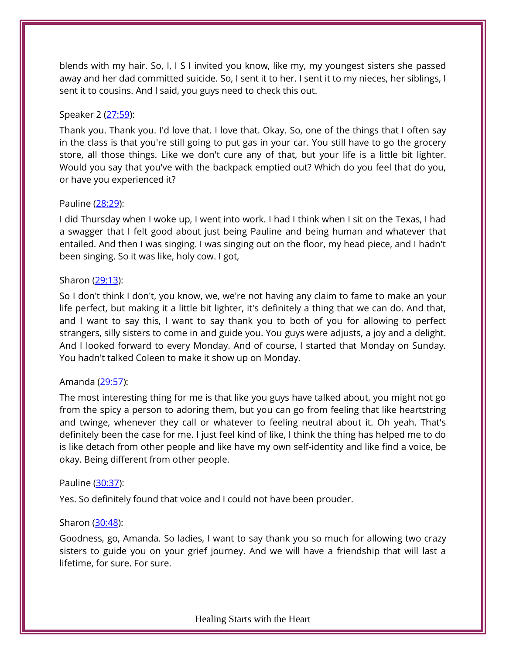blends with my hair. So, I, I S I invited you know, like my, my youngest sisters she passed away and her dad committed suicide. So, I sent it to her. I sent it to my nieces, her siblings, I sent it to cousins. And I said, you guys need to check this out.

## Speaker 2 [\(27:59\)](https://www.temi.com/editor/t/Mk2WrqbMfJijmaBciphUUzM4Cxgzh3iT54Kpgdt1lexARqOhq9mn0uYPWUwz9TPciCys7VYPQztkYoLsdCDhcQIkJG8?loadFrom=DocumentDeeplink&ts=1679.72):

Thank you. Thank you. I'd love that. I love that. Okay. So, one of the things that I often say in the class is that you're still going to put gas in your car. You still have to go the grocery store, all those things. Like we don't cure any of that, but your life is a little bit lighter. Would you say that you've with the backpack emptied out? Which do you feel that do you, or have you experienced it?

## Pauline [\(28:29\)](https://www.temi.com/editor/t/Mk2WrqbMfJijmaBciphUUzM4Cxgzh3iT54Kpgdt1lexARqOhq9mn0uYPWUwz9TPciCys7VYPQztkYoLsdCDhcQIkJG8?loadFrom=DocumentDeeplink&ts=1709.23):

I did Thursday when I woke up, I went into work. I had I think when I sit on the Texas, I had a swagger that I felt good about just being Pauline and being human and whatever that entailed. And then I was singing. I was singing out on the floor, my head piece, and I hadn't been singing. So it was like, holy cow. I got,

## Sharon [\(29:13\)](https://www.temi.com/editor/t/Mk2WrqbMfJijmaBciphUUzM4Cxgzh3iT54Kpgdt1lexARqOhq9mn0uYPWUwz9TPciCys7VYPQztkYoLsdCDhcQIkJG8?loadFrom=DocumentDeeplink&ts=1753.3):

So I don't think I don't, you know, we, we're not having any claim to fame to make an your life perfect, but making it a little bit lighter, it's definitely a thing that we can do. And that, and I want to say this, I want to say thank you to both of you for allowing to perfect strangers, silly sisters to come in and guide you. You guys were adjusts, a joy and a delight. And I looked forward to every Monday. And of course, I started that Monday on Sunday. You hadn't talked Coleen to make it show up on Monday.

# Amanda [\(29:57\)](https://www.temi.com/editor/t/Mk2WrqbMfJijmaBciphUUzM4Cxgzh3iT54Kpgdt1lexARqOhq9mn0uYPWUwz9TPciCys7VYPQztkYoLsdCDhcQIkJG8?loadFrom=DocumentDeeplink&ts=1797.67):

The most interesting thing for me is that like you guys have talked about, you might not go from the spicy a person to adoring them, but you can go from feeling that like heartstring and twinge, whenever they call or whatever to feeling neutral about it. Oh yeah. That's definitely been the case for me. I just feel kind of like, I think the thing has helped me to do is like detach from other people and like have my own self-identity and like find a voice, be okay. Being different from other people.

## Pauline [\(30:37\)](https://www.temi.com/editor/t/Mk2WrqbMfJijmaBciphUUzM4Cxgzh3iT54Kpgdt1lexARqOhq9mn0uYPWUwz9TPciCys7VYPQztkYoLsdCDhcQIkJG8?loadFrom=DocumentDeeplink&ts=1837.78):

Yes. So definitely found that voice and I could not have been prouder.

## Sharon [\(30:48\)](https://www.temi.com/editor/t/Mk2WrqbMfJijmaBciphUUzM4Cxgzh3iT54Kpgdt1lexARqOhq9mn0uYPWUwz9TPciCys7VYPQztkYoLsdCDhcQIkJG8?loadFrom=DocumentDeeplink&ts=1848.4):

Goodness, go, Amanda. So ladies, I want to say thank you so much for allowing two crazy sisters to guide you on your grief journey. And we will have a friendship that will last a lifetime, for sure. For sure.